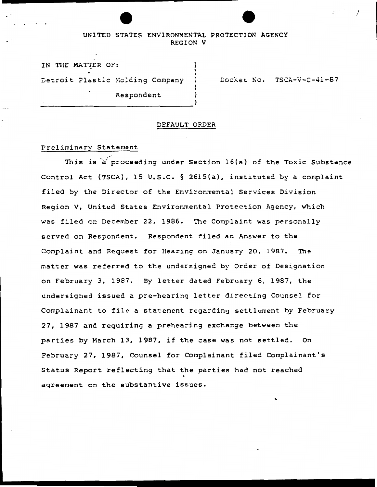## UNITED STATES ENVIRONMENTAL PROTECTION AGENCY REGION V

) ) ' J )

IN THE MATTER OF: Detroit Plastic Molding Company expondent (1999)<br>
(1999)<br>
(1999)

Docket No. TSCA-V-C-41-87

I

#### DEFAULT ORDER

## Preliminary Statement

This is a proceeding under Section 16(a) of the Toxic Substance Control Act (TSCA), 15 u.s.c. § 2615(a), instituted by a complaint filed by the Director of the Environmental Services Division Region V, United States Environmental Protection Agency, which was filed on December 22, 1986. The Complaint was personally served on Respondent. Respondent filed an Answer to the Complaint and Request for Hearing on January 20, 1987. The matter was referred to the undersigned by Order of Designation on February 3, 1987. By letter dated February 6, 1987, the undersigned issued a pre-hearing letter directing Counsel for Complainant to file a statement regarding settlement by February 27, 1987 and requiring a prehearing exchange between the parties by March 13, 1987, if the case was not settled. On February 27, 1987, Counsel for Complainant filed Complainant's Status Report reflecting that the parties had not reached agreement on the substantive issues.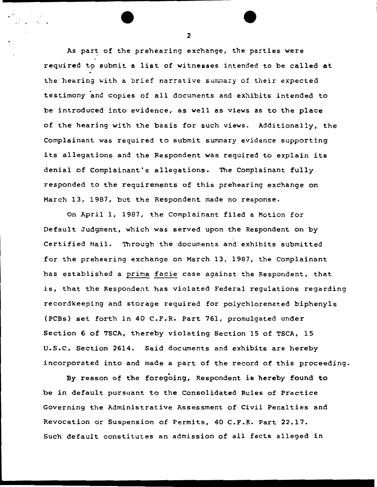As part of the prehearing exchange, the parties were required to submit a list of witnesses intended to be called at the hearing with a brief narrative summary of their expected testimony and copies of all documents and exhibits intended to be introduced into evidence, as well as views as to the place of the hearing with the basis for such views. Additionally, the Complainant was required to submit summary evidence supporting its allegations and the Respondent was required to explain its denial of Complainant's allegations. The Complainant fully responded to the requirements of this prehearing exchange on March 13, 1987, but the Respondent made no response.

On April 1, 1987, the Complainant filed a Motion for Default Judgment, which was served upon the Respondent on by Certified Mail. Through the documents and exhibits submitted for the prehearing exchange on March 13, 1987, the Complainant has established a prima facie case against the Respondent, that is, that the Respondent has violated Federal regulations regarding recordkeeping and storage required for polychlorenated biphenyls (PCBs} set forth in 40 C.F.R. Part 761, promulgated under Section 6 of TSCA, thereby violating Section 15 of TSCA, 15 u.s.c. Section 2614. Said documents and exhibits are hereby incorporated into and made a part of the record of this proceeding.

By reason of the foregoing, Respondent is hereby found to be in default pursuant to the Consolidated Rules of Practice Governing the Administrative Assessment of Civil Penalties and Revocation or Suspension of Permits, 40 C.F.R. Part 22.17. Such default constitutes an admission of all facts alleged in

 $\overline{\bullet}$   $\overline{\bullet}$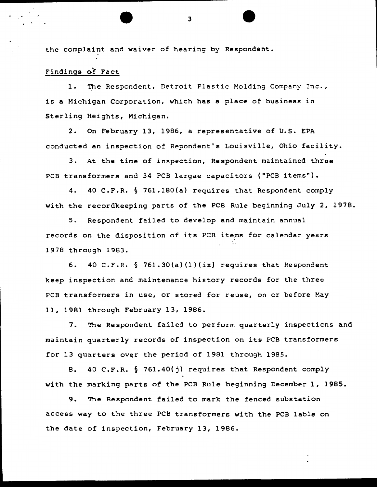the complaint and waiver of hearing by Respondent.

# Findings of Fact

The Respondent, Detroit Plastic Molding Company Inc., is a Michigan Corporation, which has a place of business in Sterling Heights, Michigan.

2. On February 13, 1986, a representative of U.S. EPA conducted an inspection of Repondent's Louisville, Ohio facility.

3. At the time of inspection, Respondent maintained three PCB transformers and 34 PCB largae capacitors ("PCB items").

4. 40 C.F.R. § 761.180(a) requires that Respondent comply with the recordkeeping parts of the PCB Rule beginning July 2, 1978.

5. Respondent failed to develop and maintain annual records on the disposition of its PCB items for calendar years 1978 through 1983.

6.  $40 \text{ C.F.R. }$   $\S$  761.30(a)(1)(ix) requires that Respondent keep inspection and maintenance history records for the three PCB transformers in use, or stored for reuse, on or before May 11, 1981 through February 13, 1986.

7. The Respondent failed to perform quarterly inspections and maintain quarterly records of inspection on its PCB transformers for 13 quarters over the period of 1981 through 1985.

8. 40 C.F.R. § 761.40(j) requires that Respondent comply with the marking parts of the PCB Rule beginning December 1, 1985.

9. The Respondent failed to mark the fenced substation access way to the three PCB transformers with the PCB lable on the date of inspection, February 13, 1986.

 $\overline{\bullet}$   $\overline{\bullet}$   $\overline{\bullet}$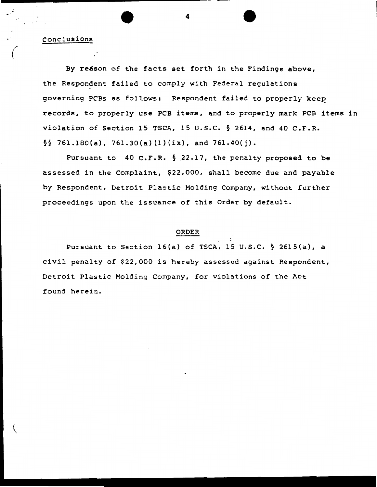• 4 • . . Conclusions

By reason of the facts set forth in the Findings above, the Respondent failed to comply with Federal regulations governing PCBs as follows: Respondent failed to properly keep records, to properly use PCB items, and to properly mark PCB items in violation of Section 15 TSCA, 15 u.s.c. § 2614, and 40 C.F.R.  $\S$  761.180(a), 761.30(a)(1)(ix), and 761.40(j).

Pursuant to 40 C.F.R. § 22.17, the penalty proposed to be assessed in the Complaint, \$22,000, shall become due and payable by Respondent, Detroit Plastic Molding Company, without further proceedings upon the issuance of this Order by default.

#### ORDER

Pursuant to Section 16(a) of TSCA, 15 u.s.c. § 2615(a), a civil penalty of \$22,000 is hereby assessed against Respondent, Detroit Plastic Molding Company, for violations of the Act found herein.